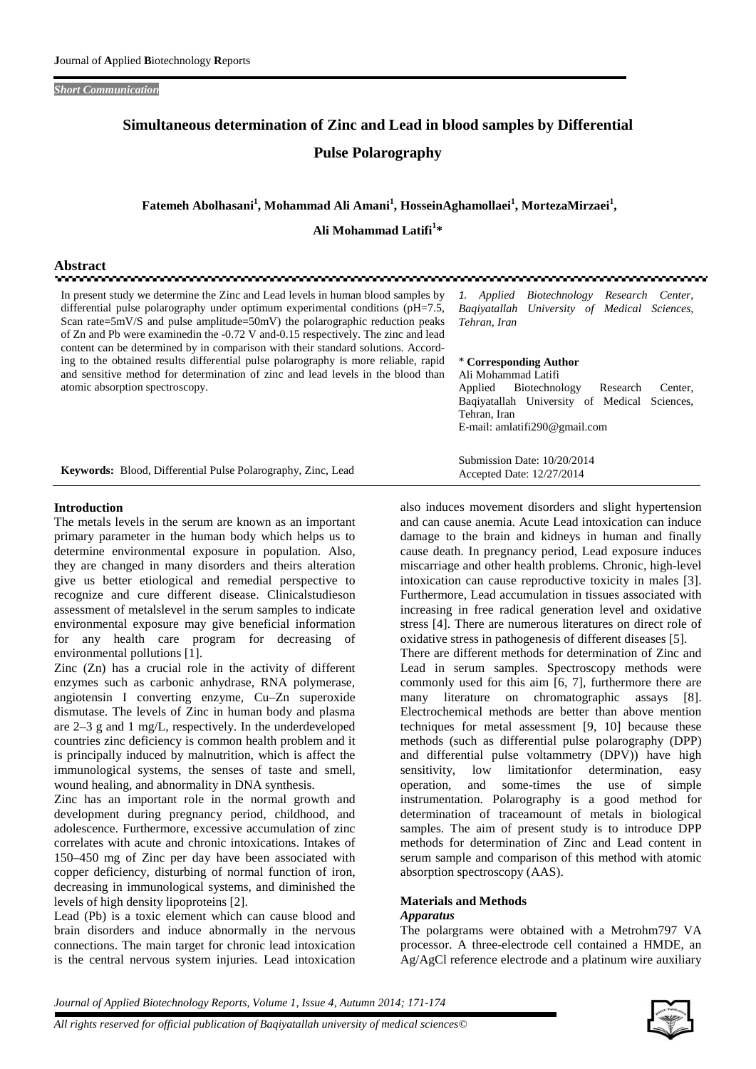#### *Short Communication*

# **Simultaneous determination of Zinc and Lead in blood samples by Differential Pulse Polarography**

# **Fatemeh Abolhasani<sup>1</sup> , Mohammad Ali Amani<sup>1</sup> , HosseinAghamollaei<sup>1</sup> , MortezaMirzaei<sup>1</sup> ,**

**Ali Mohammad Latifi<sup>1</sup>\***

# **Abstract**

In present study we determine the Zinc and Lead levels in human blood samples by differential pulse polarography under optimum experimental conditions (pH=7.5, Scan rate=5mV/S and pulse amplitude=50mV) the polarographic reduction peaks of Zn and Pb were examinedin the -0.72 V and-0.15 respectively. The zinc and lead content can be determined by in comparison with their standard solutions. According to the obtained results differential pulse polarography is more reliable, rapid and sensitive method for determination of zinc and lead levels in the blood than atomic absorption spectroscopy.

*1. Applied Biotechnology Research Center, Baqiyatallah University of Medical Sciences, Tehran, Iran*

#### \* **Corresponding Author** Ali Mohammad Latifi

Submission Date: 10/20/2014 Accepted Date: 12/27/2014

Applied Biotechnology Research Center, Baqiyatallah University of Medical Sciences, Tehran, Iran E-mail: amlatifi290@gmail.com

|  | Keywords: Blood, Differential Pulse Polarography, Zinc, Lead |
|--|--------------------------------------------------------------|
|--|--------------------------------------------------------------|

#### **Introduction**

The metals levels in the serum are known as an important primary parameter in the human body which helps us to determine environmental exposure in population. Also, they are changed in many disorders and theirs alteration give us better etiological and remedial perspective to recognize and cure different disease. Clinicalstudieson assessment of metalslevel in the serum samples to indicate environmental exposure may give beneficial information for any health care program for decreasing of environmental pollutions [1].

Zinc (Zn) has a crucial role in the activity of different enzymes such as carbonic anhydrase, RNA polymerase, angiotensin I converting enzyme, Cu–Zn superoxide dismutase. The levels of Zinc in human body and plasma are 2–3 g and 1 mg/L, respectively. In the underdeveloped countries zinc deficiency is common health problem and it is principally induced by malnutrition, which is affect the immunological systems, the senses of taste and smell, wound healing, and abnormality in DNA synthesis.

Zinc has an important role in the normal growth and development during pregnancy period, childhood, and adolescence. Furthermore, excessive accumulation of zinc correlates with acute and chronic intoxications. Intakes of 150–450 mg of Zinc per day have been associated with copper deficiency, disturbing of normal function of iron, decreasing in immunological systems, and diminished the levels of high density lipoproteins [2].

Lead (Pb) is a toxic element which can cause blood and brain disorders and induce abnormally in the nervous connections. The main target for chronic lead intoxication is the central nervous system injuries. Lead intoxication

also induces movement disorders and slight hypertension and can cause anemia. Acute Lead intoxication can induce damage to the brain and kidneys in human and finally cause death. In pregnancy period, Lead exposure induces miscarriage and other health problems. Chronic, high-level intoxication can cause reproductive toxicity in males [3]. Furthermore, Lead accumulation in tissues associated with increasing in free radical generation level and oxidative stress [4]. There are numerous literatures on direct role of oxidative stress in pathogenesis of different diseases [5]. There are different methods for determination of Zinc and Lead in serum samples. Spectroscopy methods were commonly used for this aim [6, 7], furthermore there are many literature on chromatographic assays [8]. Electrochemical methods are better than above mention techniques for metal assessment [9, 10] because these methods (such as differential pulse polarography (DPP) and differential pulse voltammetry (DPV)) have high<br>sensitivity. low limitation for determination. easy sensitivity, low limitationfor determination, easy<br>operation, and some-times the use of simple and some-times the use of simple instrumentation. Polarography is a good method for determination of traceamount of metals in biological samples. The aim of present study is to introduce DPP methods for determination of Zinc and Lead content in serum sample and comparison of this method with atomic

## **Materials and Methods**

absorption spectroscopy (AAS).

#### *Apparatus*

The polargrams were obtained with a Metrohm797 VA processor. A three-electrode cell contained a HMDE, an Ag/AgCl reference electrode and a platinum wire auxiliary

*Journal of Applied Biotechnology Reports, Volume 1, Issue 4, Autumn 2014; 171-174*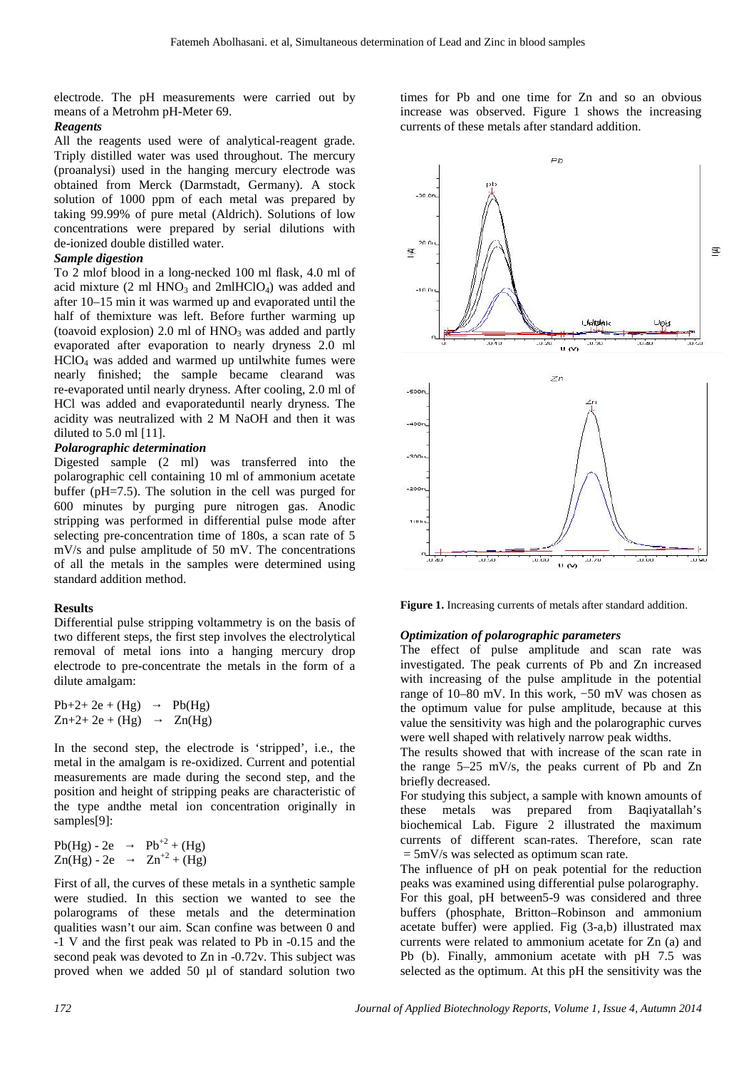electrode. The pH measurements were carried out by means of a Metrohm pH-Meter 69.

# *Reagents*

All the reagents used were of analytical-reagent grade. Triply distilled water was used throughout. The mercury (proanalysi) used in the hanging mercury electrode was obtained from Merck (Darmstadt, Germany). A stock solution of 1000 ppm of each metal was prepared by taking 99.99% of pure metal (Aldrich). Solutions of low concentrations were prepared by serial dilutions with de-ionized double distilled water.

## *Sample digestion*

To 2 mlof blood in a long-necked 100 ml flask, 4.0 ml of acid mixture (2 ml  $HNO<sub>3</sub>$  and 2mlHClO<sub>4</sub>) was added and after 10–15 min it was warmed up and evaporated until the half of themixture was left. Before further warming up (toavoid explosion) 2.0 ml of  $HNO<sub>3</sub>$  was added and partly evaporated after evaporation to nearly dryness 2.0 ml HClO<sup>4</sup> was added and warmed up untilwhite fumes were nearly finished; the sample became clearand was re-evaporated until nearly dryness. After cooling, 2.0 ml of HCl was added and evaporateduntil nearly dryness. The acidity was neutralized with 2 M NaOH and then it was diluted to 5.0 ml [11].

## *Polarographic determination*

Digested sample (2 ml) was transferred into the polarographic cell containing 10 ml of ammonium acetate buffer (pH=7.5). The solution in the cell was purged for 600 minutes by purging pure nitrogen gas. Anodic stripping was performed in differential pulse mode after selecting pre-concentration time of 180s, a scan rate of 5 mV/s and pulse amplitude of 50 mV. The concentrations of all the metals in the samples were determined using standard addition method.

#### **Results**

Differential pulse stripping voltammetry is on the basis of two different steps, the first step involves the electrolytical removal of metal ions into a hanging mercury drop electrode to pre-concentrate the metals in the form of a dilute amalgam:

| $Pb+2+2e+(Hg)$ | Pb(Hg)          |
|----------------|-----------------|
| $Zn+2+2e+(Hg)$ | $\text{Zn(Hg)}$ |

In the second step, the electrode is 'stripped', i.e., the metal in the amalgam is re-oxidized. Current and potential measurements are made during the second step, and the position and height of stripping peaks are characteristic of the type andthe metal ion concentration originally in samples[9]:

| $Pb(Hg) - 2e$ | $Pb^{+2} + (Hg)$ |
|---------------|------------------|
| $Zn(Hg) - 2e$ | $Zn^{2} + (Hg)$  |

First of all, the curves of these metals in a synthetic sample were studied. In this section we wanted to see the polarograms of these metals and the determination qualities wasn't our aim. Scan confine was between 0 and -1 V and the first peak was related to Pb in -0.15 and the second peak was devoted to Zn in -0.72v. This subject was proved when we added 50 µl of standard solution two

times for Pb and one time for Zn and so an obvious increase was observed. Figure 1 shows the increasing currents of these metals after standard addition.



**Figure 1.** Increasing currents of metals after standard addition.

#### *Optimization of polarographic parameters*

The effect of pulse amplitude and scan rate was investigated. The peak currents of Pb and Zn increased with increasing of the pulse amplitude in the potential range of 10–80 mV. In this work, −50 mV was chosen as the optimum value for pulse amplitude, because at this value the sensitivity was high and the polarographic curves were well shaped with relatively narrow peak widths.

The results showed that with increase of the scan rate in the range 5–25 mV/s, the peaks current of Pb and Zn briefly decreased.

For studying this subject, a sample with known amounts of these metals was prepared from Baqiyatallah's biochemical Lab. Figure 2 illustrated the maximum currents of different scan-rates. Therefore, scan rate  $= 5 \text{mV/s}$  was selected as optimum scan rate.

The influence of pH on peak potential for the reduction peaks was examined using differential pulse polarography. For this goal, pH between5-9 was considered and three buffers (phosphate, Britton–Robinson and ammonium acetate buffer) were applied. Fig (3-a,b) illustrated max currents were related to ammonium acetate for Zn (a) and Pb (b). Finally, ammonium acetate with pH 7.5 was selected as the optimum. At this pH the sensitivity was the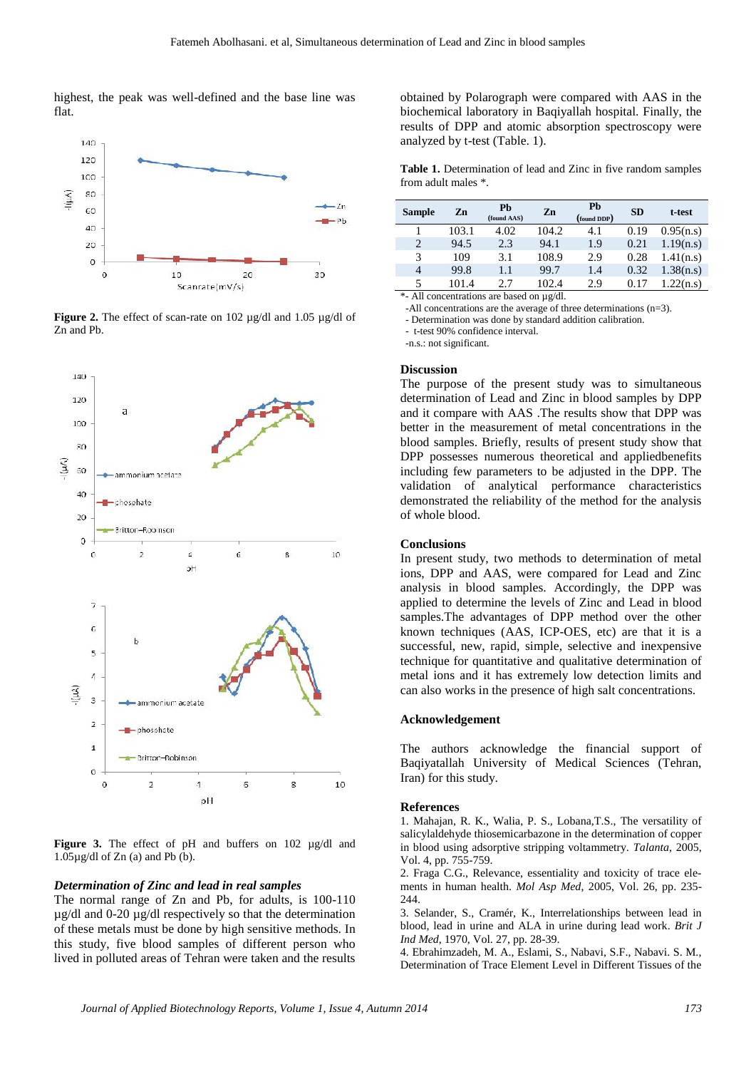highest, the peak was well-defined and the base line was flat.



**Figure 2.** The effect of scan-rate on 102 µg/dl and 1.05 µg/dl of Zn and Pb.



**Figure 3.** The effect of pH and buffers on 102 µg/dl and  $1.05\mu$ g/dl of Zn (a) and Pb (b).

#### *Determination of Zinc and lead in real samples*

The normal range of Zn and Pb, for adults, is 100-110 µg/dl and 0-20 µg/dl respectively so that the determination of these metals must be done by high sensitive methods. In this study, five blood samples of different person who lived in polluted areas of Tehran were taken and the results

obtained by Polarograph were compared with AAS in the biochemical laboratory in Baqiyallah hospital. Finally, the results of DPP and atomic absorption spectroscopy were analyzed by t-test (Table. 1).

**Table 1.** Determination of lead and Zinc in five random samples from adult males \*.

| <b>Sample</b>  | Zn    | Pb<br>(found AAS)      | Zn        | Pb<br>(found DDP) | <b>SD</b> | t-test    |
|----------------|-------|------------------------|-----------|-------------------|-----------|-----------|
|                | 103.1 | 4.02                   | 104.2     | 4.1               | 0.19      | 0.95(n.s) |
| $\overline{2}$ | 94.5  | 2.3                    | 94.1      | 1.9               | 0.21      | 1.19(n.s) |
| 3              | 109   | 3.1                    | 108.9     | 2.9               | 0.28      | 1.41(n.s) |
| $\overline{4}$ | 99.8  | 1.1                    | 99.7      | 1.4               | 0.32      | 1.38(n.s) |
| 5              | 101.4 | 2.7                    | 102.4     | 2.9               | 0.17      | 1.22(n.s) |
| 1.11<br>$-1$   |       | $\mathbf{H}$<br>$\sim$ | $\sim$ 44 |                   |           |           |

\*- All concentrations are based on µg/dl.

-All concentrations are the average of three determinations (n=3).

- Determination was done by standard addition calibration. - t-test 90% confidence interval.

-n.s.: not significant.

#### **Discussion**

The purpose of the present study was to simultaneous determination of Lead and Zinc in blood samples by DPP and it compare with AAS .The results show that DPP was better in the measurement of metal concentrations in the blood samples. Briefly, results of present study show that DPP possesses numerous theoretical and appliedbenefits including few parameters to be adjusted in the DPP. The validation of analytical performance characteristics demonstrated the reliability of the method for the analysis of whole blood.

#### **Conclusions**

In present study, two methods to determination of metal ions, DPP and AAS, were compared for Lead and Zinc analysis in blood samples. Accordingly, the DPP was applied to determine the levels of Zinc and Lead in blood samples.The advantages of DPP method over the other known techniques (AAS, ICP-OES, etc) are that it is a successful, new, rapid, simple, selective and inexpensive technique for quantitative and qualitative determination of metal ions and it has extremely low detection limits and can also works in the presence of high salt concentrations.

#### **Acknowledgement**

The authors acknowledge the financial support of Baqiyatallah University of Medical Sciences (Tehran, Iran) for this study.

#### **References**

1. Mahajan, R. K., Walia, P. S., Lobana,T.S., The versatility of salicylaldehyde thiosemicarbazone in the determination of copper in blood using adsorptive stripping voltammetry. *Talanta*, 2005, Vol. 4, pp. 755-759.

2. Fraga C.G., Relevance, essentiality and toxicity of trace ele ments in human health. *Mol Asp Med*, 2005, Vol. 26, pp. 235- 244

3. Selander, S., Cramér, K., Interrelationships between lead in blood, lead in urine and ALA in urine during lead work. *Brit J Ind Med*, 1970, Vol. 27, pp. 28-39.

4. Ebrahimzadeh, M. A., Eslami, S., Nabavi, S.F., Nabavi. S. M., Determination of Trace Element Level in Different Tissues of the